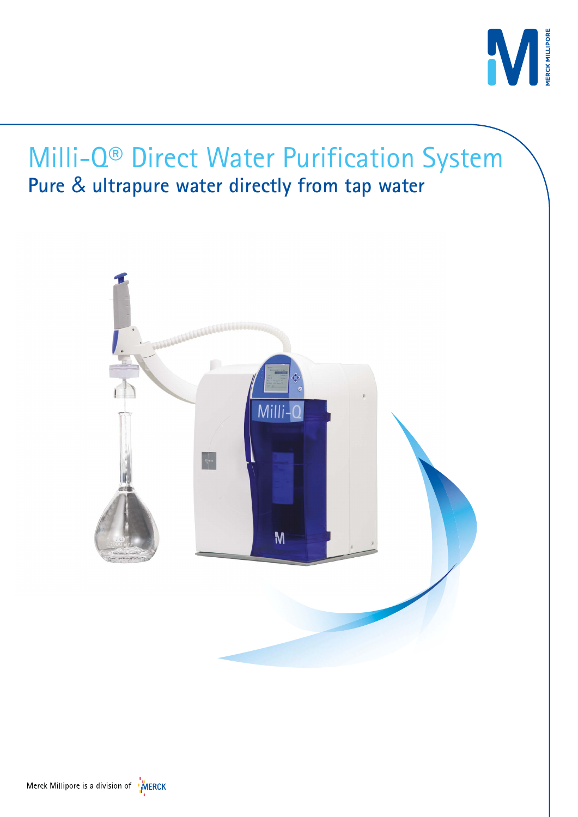



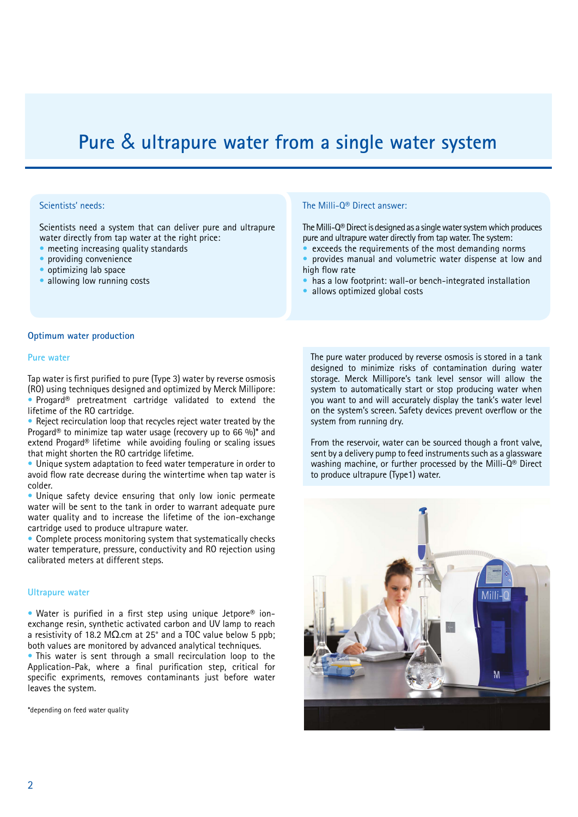# **Pure** & **ultrapure water from a single water system**

## Scientists' needs:

Scientists need a system that can deliver pure and ultrapure water directly from tap water at the right price:

- meeting increasing quality standards
- providing convenience
- optimizing lab space
- allowing low running costs

#### The Milli-Q® Direct answer:

The Milli-Q® Direct is designed as a single water system which produces pure and ultrapure water directly from tap water. The system:

exceeds the requirements of the most demanding norms • provides manual and volumetric water dispense at low and high flow rate

- has a low footprint: wall-or bench-integrated installation
- allows optimized global costs

#### **Optimum water production**

#### **Pure water**

Tap water is first purified to pure (Type 3) water by reverse osmosis (RO) using techniques designed and optimized by Merck Millipore: • Progard® pretreatment cartridge validated to extend the lifetime of the RO cartridge.

• Reject recirculation loop that recycles reject water treated by the Progard<sup>®</sup> to minimize tap water usage (recovery up to 66 %)<sup>\*</sup> and extend Progard® lifetime while avoiding fouling or scaling issues that might shorten the RO cartridge lifetime.

• Unique system adaptation to feed water temperature in order to avoid flow rate decrease during the wintertime when tap water is colder.

Unique safety device ensuring that only low ionic permeate water will be sent to the tank in order to warrant adequate pure water quality and to increase the lifetime of the ion-exchange cartridge used to produce ultrapure water.

• Complete process monitoring system that systematically checks water temperature, pressure, conductivity and RO rejection using calibrated meters at different steps.

#### **Ultrapure water**

• Water is purified in a first step using unique Jetpore® ionexchange resin, synthetic activated carbon and UV lamp to reach a resistivity of 18.2 MΩ.cm at 25° and a TOC value below 5 ppb; both values are monitored by advanced analytical techniques.

• This water is sent through a small recirculation loop to the Application-Pak, where a final purification step, critical for specific expriments, removes contaminants just before water leaves the system.

\*depending on feed water quality

The pure water produced by reverse osmosis is stored in a tank designed to minimize risks of contamination during water storage. Merck Millipore's tank level sensor will allow the system to automatically start or stop producing water when you want to and will accurately display the tank's water level on the system's screen. Safety devices prevent overflow or the system from running dry.

From the reservoir, water can be sourced though a front valve, sent by a delivery pump to feed instruments such as a glassware washing machine, or further processed by the Milli-Q® Direct to produce ultrapure (Type1) water.

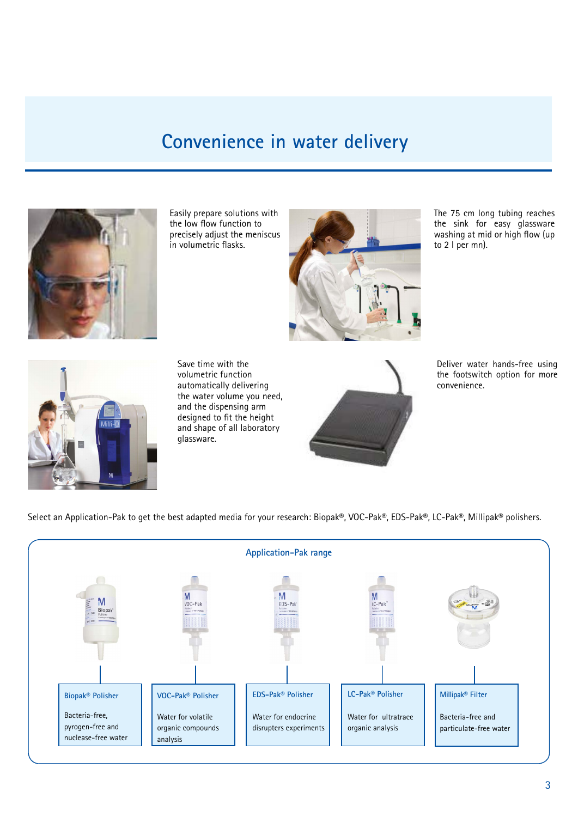## **Convenience in water delivery**



Easily prepare solutions with the low flow function to precisely adjust the meniscus in volumetric flasks.



The 75 cm long tubing reaches the sink for easy glassware washing at mid or high flow (up to 2 l per mn).



Save time with the volumetric function automatically delivering the water volume you need, and the dispensing arm designed to fit the height and shape of all laboratory glassware.



Deliver water hands-free using the footswitch option for more convenience.

Select an Application-Pak to get the best adapted media for your research: Biopak®, VOC-Pak®, EDS-Pak®, LC-Pak®, Millipak® polishers.

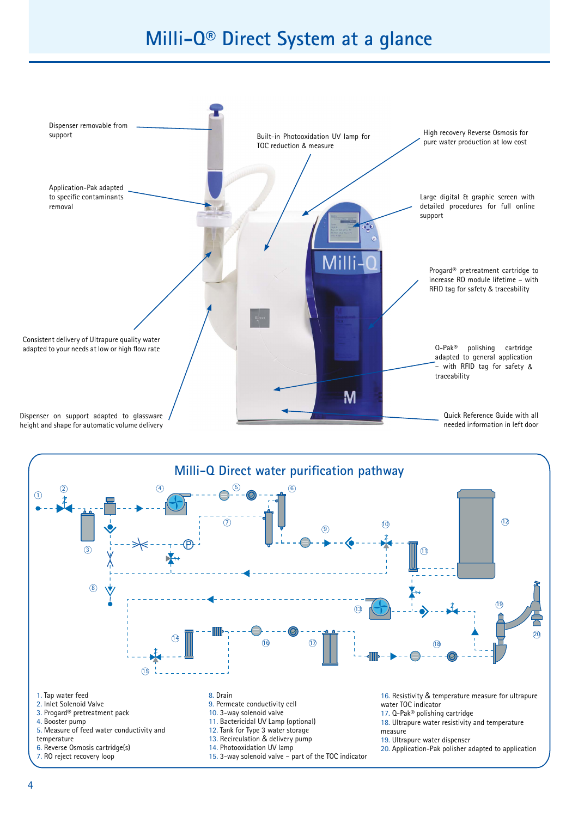# **Milli-Q® Direct System at a glance**





- 
- 7. RO reject recovery loop

15. 3-way solenoid valve – part of the TOC indicator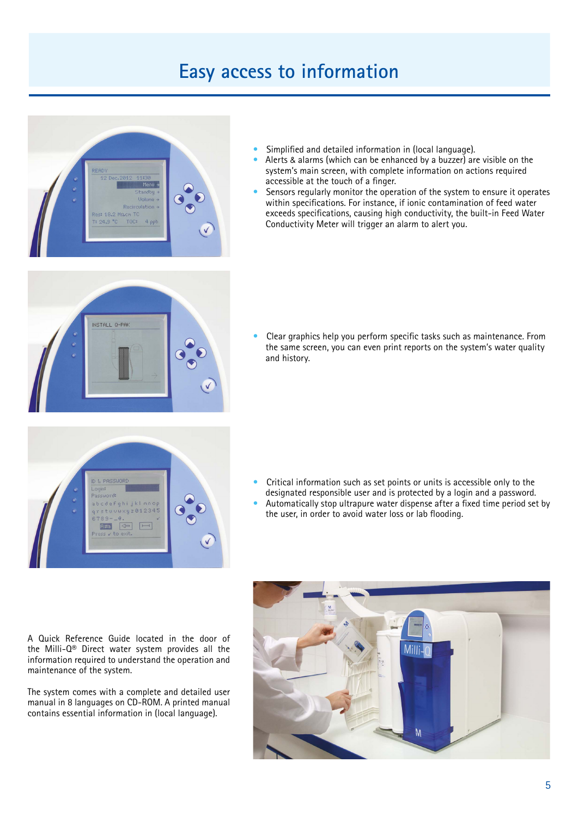# **Easy access to information**



- Simplified and detailed information in (local language).
- Alerts & alarms (which can be enhanced by a buzzer) are visible on the system's main screen, with complete information on actions required accessible at the touch of a finger.
- Sensors regularly monitor the operation of the system to ensure it operates within specifications. For instance, if ionic contamination of feed water exceeds specifications, causing high conductivity, the built-in Feed Water Conductivity Meter will trigger an alarm to alert you.



• Clear graphics help you perform specific tasks such as maintenance. From the same screen, you can even print reports on the system's water quality and history.



- Critical information such as set points or units is accessible only to the designated responsible user and is protected by a login and a password.
- Automatically stop ultrapure water dispense after a fixed time period set by the user, in order to avoid water loss or lab flooding.

A Quick Reference Guide located in the door of the Milli-Q® Direct water system provides all the information required to understand the operation and maintenance of the system.

The system comes with a complete and detailed user manual in 8 languages on CD-ROM. A printed manual contains essential information in (local language).

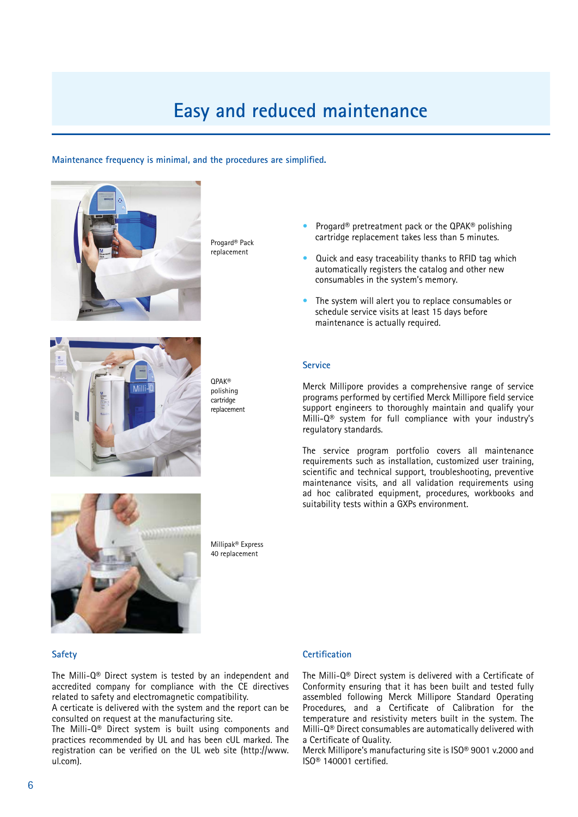# **Easy and reduced maintenance**

#### **Maintenance frequency is minimal, and the procedures are simplified.**



Progard® Pack replacement

- Progard<sup>®</sup> pretreatment pack or the QPAK<sup>®</sup> polishing cartridge replacement takes less than 5 minutes.
- Quick and easy traceability thanks to RFID tag which automatically registers the catalog and other new consumables in the system's memory.
- The system will alert you to replace consumables or schedule service visits at least 15 days before maintenance is actually required.



QPAK® polishing cartridge replacement

#### **Service**

Merck Millipore provides a comprehensive range of service programs performed by certified Merck Millipore field service support engineers to thoroughly maintain and qualify your Milli-Q® system for full compliance with your industry's regulatory standards.

The service program portfolio covers all maintenance requirements such as installation, customized user training, scientific and technical support, troubleshooting, preventive maintenance visits, and all validation requirements using ad hoc calibrated equipment, procedures, workbooks and suitability tests within a GXPs environment.



Millipak® Express 40 replacement

#### **Safety**

The Milli-Q® Direct system is tested by an independent and accredited company for compliance with the CE directives related to safety and electromagnetic compatibility.

A certicate is delivered with the system and the report can be consulted on request at the manufacturing site.

The Milli-Q® Direct system is built using components and practices recommended by UL and has been cUL marked. The registration can be verified on the UL web site (http://www. ul.com).

## **Certification**

The Milli-Q® Direct system is delivered with a Certificate of Conformity ensuring that it has been built and tested fully assembled following Merck Millipore Standard Operating Procedures, and a Certificate of Calibration for the temperature and resistivity meters built in the system. The Milli-Q® Direct consumables are automatically delivered with a Certificate of Quality.

Merck Millipore's manufacturing site is ISO® 9001 v.2000 and ISO® 140001 certified.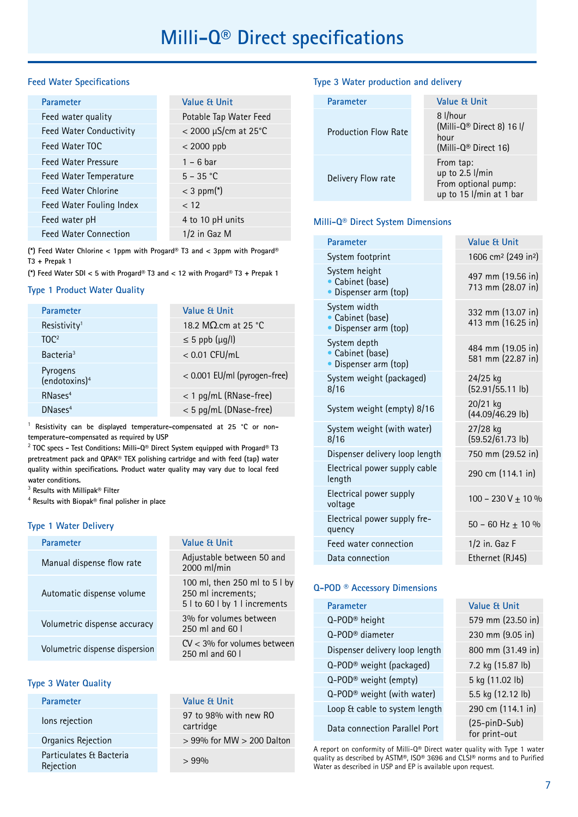### **Feed Water Specifications**

| <b>Value &amp; Unit</b> |
|-------------------------|
| Potable Tap Water Feed  |
| $<$ 2000 µS/cm at 25°C  |
| $<$ 2000 ppb            |
| $1 - 6$ bar             |
| $5 - 35 °C$             |
| $<$ 3 ppm(*)            |
| < 12                    |
| 4 to 10 pH units        |
| 1/2 in Gaz M            |
|                         |

**(\*) Feed Water Chlorine < 1ppm with Progard® T3 and < 3ppm with Progard® T3 + Prepak 1**

**(\*) Feed Water SDI < 5 with Progard® T3 and < 12 with Progard® T3 + Prepak 1**

## **Type 1 Product Water Quality**

| Value & Unit                 |
|------------------------------|
| 18.2 M $\Omega$ cm at 25 °C  |
| $\leq$ 5 ppb ( $\mu$ g/l)    |
| $< 0.01$ CFU/mL              |
| < 0.001 EU/ml (pyrogen-free) |
| < 1 pg/mL (RNase-free)       |
| < 5 pg/mL (DNase-free)       |
|                              |

<sup>1</sup> Resistivity can be displayed temperature-compensated at 25 °C or non**temperature-compensated as required by USP**

2  **TOC specs - Test Conditions: Milli-Q® Direct System equipped with Progard® T3 pretreatment pack and QPAK® TEX polishing cartridge and with feed (tap) water quality within specifications. Product water quality may vary due to local feed water conditions.**

3  **Results with Millipak® Filter**

4  **Results with Biopak® final polisher in place**

#### **Type 1 Water Delivery**

| <b>Parameter</b>               | Value & Unit                                                                         |
|--------------------------------|--------------------------------------------------------------------------------------|
| Manual dispense flow rate      | Adjustable between 50 and<br>2000 ml/min                                             |
| Automatic dispense volume      | 100 ml, then 250 ml to 5 l by<br>250 ml increments;<br>5 l to 60 l by 1 l increments |
| Volumetric dispense accuracy   | 3% for volumes between<br>250 ml and 60 l                                            |
| Volumetric dispense dispersion | $CV < 3\%$ for volumes between<br>250 ml and 60 l                                    |

#### **Type 3 Water Quality**

| <b>Parameter</b>                     | Value & Unit                       |
|--------------------------------------|------------------------------------|
| lons rejection                       | 97 to 98% with new RO<br>cartridge |
| Organics Rejection                   | $> 99\%$ for MW $> 200$ Dalton     |
| Particulates & Bacteria<br>Rejection | $> 99\%$                           |

## **Type 3 Water production and delivery**

| Parameter                   | Value & Unit                                                                   |
|-----------------------------|--------------------------------------------------------------------------------|
| <b>Production Flow Rate</b> | 8 l/hour<br>(Milli-Q® Direct 8) 16 l/<br>hour<br>(Milli-Q® Direct 16)          |
| Delivery Flow rate          | From tap:<br>up to 2.5 l/min<br>From optional pump:<br>up to 15 l/min at 1 bar |

## **Milli-Q® Direct System Dimensions**

| Parameter                                                  | <b>Value &amp; Unit</b>                     |
|------------------------------------------------------------|---------------------------------------------|
| System footprint                                           | 1606 cm <sup>2</sup> (249 in <sup>2</sup> ) |
| System height<br>• Cabinet (base)<br>• Dispenser arm (top) | 497 mm (19.56 in)<br>713 mm (28.07 in)      |
| System width<br>• Cabinet (base)<br>• Dispenser arm (top)  | 332 mm (13.07 in)<br>413 mm (16.25 in)      |
| System depth<br>• Cabinet (base)<br>• Dispenser arm (top)  | 484 mm (19.05 in)<br>581 mm (22.87 in)      |
| System weight (packaged)<br>8/16                           | 24/25 kg<br>(52.91/55.11 lb)                |
| System weight (empty) 8/16                                 | 20/21 kg<br>$(44.09/46.29$ lb)              |
| System weight (with water)<br>8/16                         | 27/28 kg<br>(59.52/61.73 lb)                |
| Dispenser delivery loop length                             | 750 mm (29.52 in)                           |
| Electrical power supply cable<br>length                    | 290 cm (114.1 in)                           |
| Electrical power supply<br>voltage                         | $100 - 230 V + 10 %$                        |
| Electrical power supply fre-<br>quency                     | 50 - 60 Hz $\pm$ 10 %                       |
| Feed water connection                                      | 1/2 in. Gaz F                               |
| Data connection                                            | Ethernet (RJ45)                             |

#### **Q-POD ® Accessory Dimensions**

| Parameter                              | <b>Value &amp; Unit</b>          |
|----------------------------------------|----------------------------------|
| Q-POD <sup>®</sup> height              | 579 mm (23.50 in)                |
| Q-POD <sup>®</sup> diameter            | 230 mm (9.05 in)                 |
| Dispenser delivery loop length         | 800 mm (31.49 in)                |
| Q-POD <sup>®</sup> weight (packaged)   | 7.2 kg (15.87 lb)                |
| Q-POD <sup>®</sup> weight (empty)      | 5 kg (11.02 lb)                  |
| Q-POD <sup>®</sup> weight (with water) | 5.5 kg (12.12 lb)                |
| Loop & cable to system length          | 290 cm (114.1 in)                |
| Data connection Parallel Port          | $(25-pinD-Sub)$<br>for print-out |

A report on conformity of Milli-Q® Direct water quality with Type 1 water quality as described by ASTM®, ISO® 3696 and CLSI® norms and to Purified Water as described in USP and EP is available upon request.